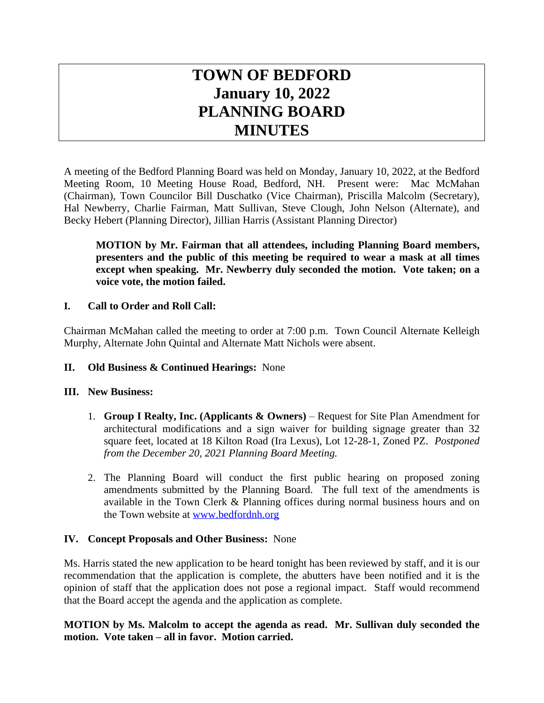# **TOWN OF BEDFORD January 10, 2022 PLANNING BOARD MINUTES**

A meeting of the Bedford Planning Board was held on Monday, January 10, 2022, at the Bedford Meeting Room, 10 Meeting House Road, Bedford, NH. Present were: Mac McMahan (Chairman), Town Councilor Bill Duschatko (Vice Chairman), Priscilla Malcolm (Secretary), Hal Newberry, Charlie Fairman, Matt Sullivan, Steve Clough, John Nelson (Alternate), and Becky Hebert (Planning Director), Jillian Harris (Assistant Planning Director)

**MOTION by Mr. Fairman that all attendees, including Planning Board members, presenters and the public of this meeting be required to wear a mask at all times except when speaking. Mr. Newberry duly seconded the motion. Vote taken; on a voice vote, the motion failed.**

## **I. Call to Order and Roll Call:**

Chairman McMahan called the meeting to order at 7:00 p.m. Town Council Alternate Kelleigh Murphy, Alternate John Quintal and Alternate Matt Nichols were absent.

#### **II. Old Business & Continued Hearings:** None

#### **III. New Business:**

- 1. **Group I Realty, Inc. (Applicants & Owners)** Request for Site Plan Amendment for architectural modifications and a sign waiver for building signage greater than 32 square feet, located at 18 Kilton Road (Ira Lexus), Lot 12-28-1, Zoned PZ. *Postponed from the December 20, 2021 Planning Board Meeting.*
- 2. The Planning Board will conduct the first public hearing on proposed zoning amendments submitted by the Planning Board. The full text of the amendments is available in the Town Clerk & Planning offices during normal business hours and on the Town website at [www.bedfordnh.org](http://www.bedfordnh.org)

#### **IV. Concept Proposals and Other Business:** None

Ms. Harris stated the new application to be heard tonight has been reviewed by staff, and it is our recommendation that the application is complete, the abutters have been notified and it is the opinion of staff that the application does not pose a regional impact. Staff would recommend that the Board accept the agenda and the application as complete.

**MOTION by Ms. Malcolm to accept the agenda as read. Mr. Sullivan duly seconded the motion. Vote taken – all in favor. Motion carried.**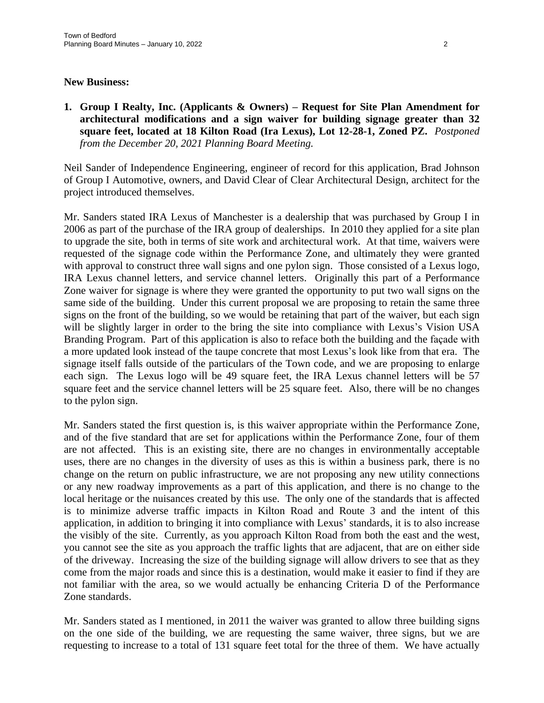#### **New Business:**

**1. Group I Realty, Inc. (Applicants & Owners) – Request for Site Plan Amendment for architectural modifications and a sign waiver for building signage greater than 32 square feet, located at 18 Kilton Road (Ira Lexus), Lot 12-28-1, Zoned PZ.** *Postponed from the December 20, 2021 Planning Board Meeting.*

Neil Sander of Independence Engineering, engineer of record for this application, Brad Johnson of Group I Automotive, owners, and David Clear of Clear Architectural Design, architect for the project introduced themselves.

Mr. Sanders stated IRA Lexus of Manchester is a dealership that was purchased by Group I in 2006 as part of the purchase of the IRA group of dealerships. In 2010 they applied for a site plan to upgrade the site, both in terms of site work and architectural work. At that time, waivers were requested of the signage code within the Performance Zone, and ultimately they were granted with approval to construct three wall signs and one pylon sign. Those consisted of a Lexus logo, IRA Lexus channel letters, and service channel letters. Originally this part of a Performance Zone waiver for signage is where they were granted the opportunity to put two wall signs on the same side of the building. Under this current proposal we are proposing to retain the same three signs on the front of the building, so we would be retaining that part of the waiver, but each sign will be slightly larger in order to the bring the site into compliance with Lexus's Vision USA Branding Program. Part of this application is also to reface both the building and the façade with a more updated look instead of the taupe concrete that most Lexus's look like from that era. The signage itself falls outside of the particulars of the Town code, and we are proposing to enlarge each sign. The Lexus logo will be 49 square feet, the IRA Lexus channel letters will be 57 square feet and the service channel letters will be 25 square feet. Also, there will be no changes to the pylon sign.

Mr. Sanders stated the first question is, is this waiver appropriate within the Performance Zone, and of the five standard that are set for applications within the Performance Zone, four of them are not affected. This is an existing site, there are no changes in environmentally acceptable uses, there are no changes in the diversity of uses as this is within a business park, there is no change on the return on public infrastructure, we are not proposing any new utility connections or any new roadway improvements as a part of this application, and there is no change to the local heritage or the nuisances created by this use. The only one of the standards that is affected is to minimize adverse traffic impacts in Kilton Road and Route 3 and the intent of this application, in addition to bringing it into compliance with Lexus' standards, it is to also increase the visibly of the site. Currently, as you approach Kilton Road from both the east and the west, you cannot see the site as you approach the traffic lights that are adjacent, that are on either side of the driveway. Increasing the size of the building signage will allow drivers to see that as they come from the major roads and since this is a destination, would make it easier to find if they are not familiar with the area, so we would actually be enhancing Criteria D of the Performance Zone standards.

Mr. Sanders stated as I mentioned, in 2011 the waiver was granted to allow three building signs on the one side of the building, we are requesting the same waiver, three signs, but we are requesting to increase to a total of 131 square feet total for the three of them. We have actually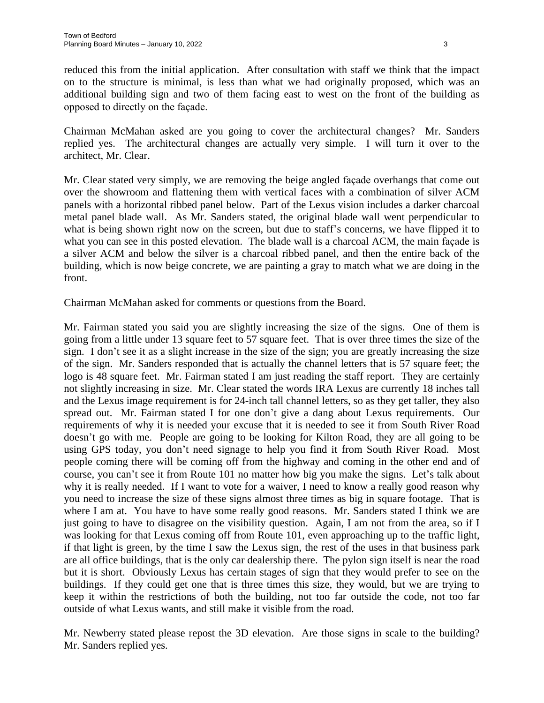reduced this from the initial application. After consultation with staff we think that the impact on to the structure is minimal, is less than what we had originally proposed, which was an additional building sign and two of them facing east to west on the front of the building as opposed to directly on the façade.

Chairman McMahan asked are you going to cover the architectural changes? Mr. Sanders replied yes. The architectural changes are actually very simple. I will turn it over to the architect, Mr. Clear.

Mr. Clear stated very simply, we are removing the beige angled façade overhangs that come out over the showroom and flattening them with vertical faces with a combination of silver ACM panels with a horizontal ribbed panel below. Part of the Lexus vision includes a darker charcoal metal panel blade wall. As Mr. Sanders stated, the original blade wall went perpendicular to what is being shown right now on the screen, but due to staff's concerns, we have flipped it to what you can see in this posted elevation. The blade wall is a charcoal ACM, the main façade is a silver ACM and below the silver is a charcoal ribbed panel, and then the entire back of the building, which is now beige concrete, we are painting a gray to match what we are doing in the front.

Chairman McMahan asked for comments or questions from the Board.

Mr. Fairman stated you said you are slightly increasing the size of the signs. One of them is going from a little under 13 square feet to 57 square feet. That is over three times the size of the sign. I don't see it as a slight increase in the size of the sign; you are greatly increasing the size of the sign. Mr. Sanders responded that is actually the channel letters that is 57 square feet; the logo is 48 square feet. Mr. Fairman stated I am just reading the staff report. They are certainly not slightly increasing in size. Mr. Clear stated the words IRA Lexus are currently 18 inches tall and the Lexus image requirement is for 24-inch tall channel letters, so as they get taller, they also spread out. Mr. Fairman stated I for one don't give a dang about Lexus requirements. Our requirements of why it is needed your excuse that it is needed to see it from South River Road doesn't go with me. People are going to be looking for Kilton Road, they are all going to be using GPS today, you don't need signage to help you find it from South River Road. Most people coming there will be coming off from the highway and coming in the other end and of course, you can't see it from Route 101 no matter how big you make the signs. Let's talk about why it is really needed. If I want to vote for a waiver, I need to know a really good reason why you need to increase the size of these signs almost three times as big in square footage. That is where I am at. You have to have some really good reasons. Mr. Sanders stated I think we are just going to have to disagree on the visibility question. Again, I am not from the area, so if I was looking for that Lexus coming off from Route 101, even approaching up to the traffic light, if that light is green, by the time I saw the Lexus sign, the rest of the uses in that business park are all office buildings, that is the only car dealership there. The pylon sign itself is near the road but it is short. Obviously Lexus has certain stages of sign that they would prefer to see on the buildings. If they could get one that is three times this size, they would, but we are trying to keep it within the restrictions of both the building, not too far outside the code, not too far outside of what Lexus wants, and still make it visible from the road.

Mr. Newberry stated please repost the 3D elevation. Are those signs in scale to the building? Mr. Sanders replied yes.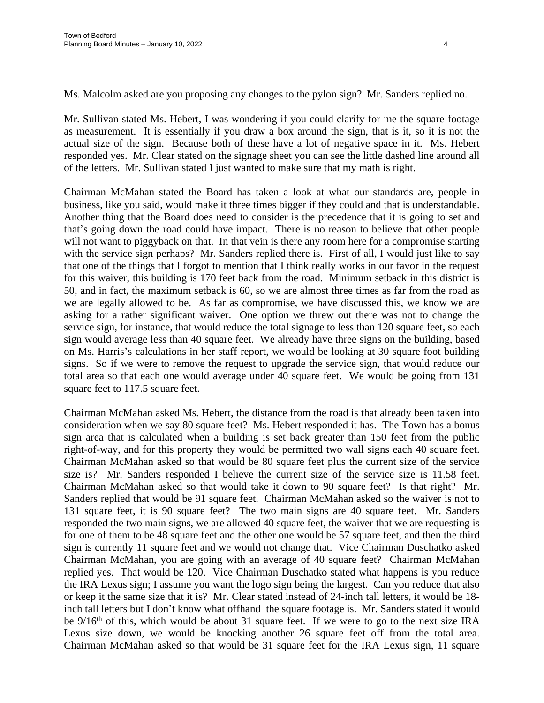Ms. Malcolm asked are you proposing any changes to the pylon sign? Mr. Sanders replied no.

Mr. Sullivan stated Ms. Hebert, I was wondering if you could clarify for me the square footage as measurement. It is essentially if you draw a box around the sign, that is it, so it is not the actual size of the sign. Because both of these have a lot of negative space in it. Ms. Hebert responded yes. Mr. Clear stated on the signage sheet you can see the little dashed line around all of the letters. Mr. Sullivan stated I just wanted to make sure that my math is right.

Chairman McMahan stated the Board has taken a look at what our standards are, people in business, like you said, would make it three times bigger if they could and that is understandable. Another thing that the Board does need to consider is the precedence that it is going to set and that's going down the road could have impact. There is no reason to believe that other people will not want to piggyback on that. In that vein is there any room here for a compromise starting with the service sign perhaps? Mr. Sanders replied there is. First of all, I would just like to say that one of the things that I forgot to mention that I think really works in our favor in the request for this waiver, this building is 170 feet back from the road. Minimum setback in this district is 50, and in fact, the maximum setback is 60, so we are almost three times as far from the road as we are legally allowed to be. As far as compromise, we have discussed this, we know we are asking for a rather significant waiver. One option we threw out there was not to change the service sign, for instance, that would reduce the total signage to less than 120 square feet, so each sign would average less than 40 square feet. We already have three signs on the building, based on Ms. Harris's calculations in her staff report, we would be looking at 30 square foot building signs. So if we were to remove the request to upgrade the service sign, that would reduce our total area so that each one would average under 40 square feet. We would be going from 131 square feet to 117.5 square feet.

Chairman McMahan asked Ms. Hebert, the distance from the road is that already been taken into consideration when we say 80 square feet? Ms. Hebert responded it has. The Town has a bonus sign area that is calculated when a building is set back greater than 150 feet from the public right-of-way, and for this property they would be permitted two wall signs each 40 square feet. Chairman McMahan asked so that would be 80 square feet plus the current size of the service size is? Mr. Sanders responded I believe the current size of the service size is 11.58 feet. Chairman McMahan asked so that would take it down to 90 square feet? Is that right? Mr. Sanders replied that would be 91 square feet. Chairman McMahan asked so the waiver is not to 131 square feet, it is 90 square feet? The two main signs are 40 square feet. Mr. Sanders responded the two main signs, we are allowed 40 square feet, the waiver that we are requesting is for one of them to be 48 square feet and the other one would be 57 square feet, and then the third sign is currently 11 square feet and we would not change that. Vice Chairman Duschatko asked Chairman McMahan, you are going with an average of 40 square feet? Chairman McMahan replied yes. That would be 120. Vice Chairman Duschatko stated what happens is you reduce the IRA Lexus sign; I assume you want the logo sign being the largest. Can you reduce that also or keep it the same size that it is? Mr. Clear stated instead of 24-inch tall letters, it would be 18 inch tall letters but I don't know what offhand the square footage is. Mr. Sanders stated it would be 9/16<sup>th</sup> of this, which would be about 31 square feet. If we were to go to the next size IRA Lexus size down, we would be knocking another 26 square feet off from the total area. Chairman McMahan asked so that would be 31 square feet for the IRA Lexus sign, 11 square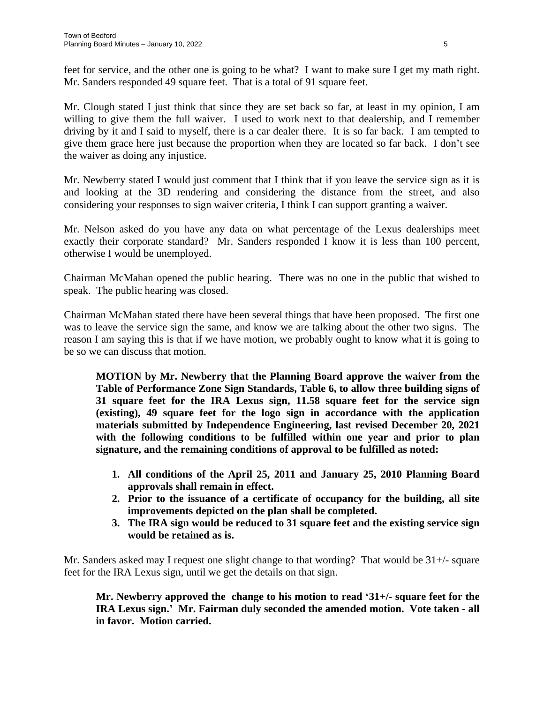feet for service, and the other one is going to be what? I want to make sure I get my math right. Mr. Sanders responded 49 square feet. That is a total of 91 square feet.

Mr. Clough stated I just think that since they are set back so far, at least in my opinion, I am willing to give them the full waiver. I used to work next to that dealership, and I remember driving by it and I said to myself, there is a car dealer there. It is so far back. I am tempted to give them grace here just because the proportion when they are located so far back. I don't see the waiver as doing any injustice.

Mr. Newberry stated I would just comment that I think that if you leave the service sign as it is and looking at the 3D rendering and considering the distance from the street, and also considering your responses to sign waiver criteria, I think I can support granting a waiver.

Mr. Nelson asked do you have any data on what percentage of the Lexus dealerships meet exactly their corporate standard? Mr. Sanders responded I know it is less than 100 percent, otherwise I would be unemployed.

Chairman McMahan opened the public hearing. There was no one in the public that wished to speak. The public hearing was closed.

Chairman McMahan stated there have been several things that have been proposed. The first one was to leave the service sign the same, and know we are talking about the other two signs. The reason I am saying this is that if we have motion, we probably ought to know what it is going to be so we can discuss that motion.

**MOTION by Mr. Newberry that the Planning Board approve the waiver from the Table of Performance Zone Sign Standards, Table 6, to allow three building signs of 31 square feet for the IRA Lexus sign, 11.58 square feet for the service sign (existing), 49 square feet for the logo sign in accordance with the application materials submitted by Independence Engineering, last revised December 20, 2021 with the following conditions to be fulfilled within one year and prior to plan signature, and the remaining conditions of approval to be fulfilled as noted:**

- **1. All conditions of the April 25, 2011 and January 25, 2010 Planning Board approvals shall remain in effect.**
- **2. Prior to the issuance of a certificate of occupancy for the building, all site improvements depicted on the plan shall be completed.**
- **3. The IRA sign would be reduced to 31 square feet and the existing service sign would be retained as is.**

Mr. Sanders asked may I request one slight change to that wording? That would be 31+/- square feet for the IRA Lexus sign, until we get the details on that sign.

**Mr. Newberry approved the change to his motion to read '31+/- square feet for the IRA Lexus sign.' Mr. Fairman duly seconded the amended motion. Vote taken - all in favor. Motion carried.**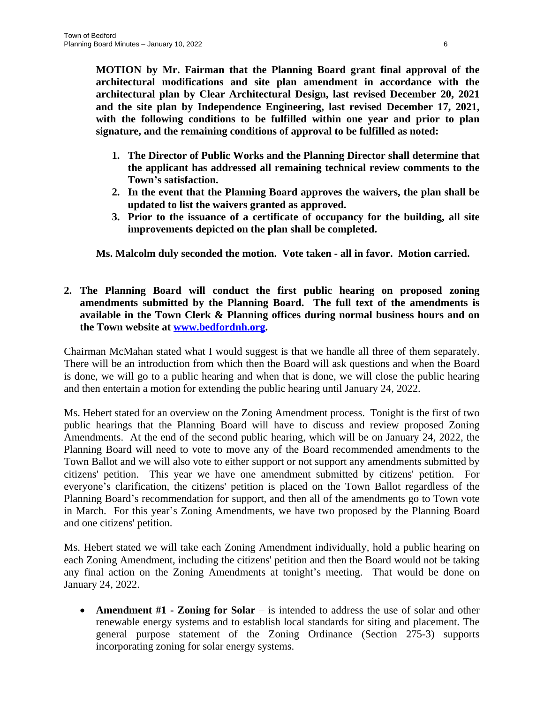**MOTION by Mr. Fairman that the Planning Board grant final approval of the architectural modifications and site plan amendment in accordance with the architectural plan by Clear Architectural Design, last revised December 20, 2021 and the site plan by Independence Engineering, last revised December 17, 2021, with the following conditions to be fulfilled within one year and prior to plan signature, and the remaining conditions of approval to be fulfilled as noted:**

- **1. The Director of Public Works and the Planning Director shall determine that the applicant has addressed all remaining technical review comments to the Town's satisfaction.**
- **2. In the event that the Planning Board approves the waivers, the plan shall be updated to list the waivers granted as approved.**
- **3. Prior to the issuance of a certificate of occupancy for the building, all site improvements depicted on the plan shall be completed.**

**Ms. Malcolm duly seconded the motion. Vote taken - all in favor. Motion carried.**

**2. The Planning Board will conduct the first public hearing on proposed zoning amendments submitted by the Planning Board. The full text of the amendments is available in the Town Clerk & Planning offices during normal business hours and on the Town website at [www.bedfordnh.org.](http://www.bedfordnh.org)**

Chairman McMahan stated what I would suggest is that we handle all three of them separately. There will be an introduction from which then the Board will ask questions and when the Board is done, we will go to a public hearing and when that is done, we will close the public hearing and then entertain a motion for extending the public hearing until January 24, 2022.

Ms. Hebert stated for an overview on the Zoning Amendment process. Tonight is the first of two public hearings that the Planning Board will have to discuss and review proposed Zoning Amendments. At the end of the second public hearing, which will be on January 24, 2022, the Planning Board will need to vote to move any of the Board recommended amendments to the Town Ballot and we will also vote to either support or not support any amendments submitted by citizens' petition. This year we have one amendment submitted by citizens' petition. For everyone's clarification, the citizens' petition is placed on the Town Ballot regardless of the Planning Board's recommendation for support, and then all of the amendments go to Town vote in March. For this year's Zoning Amendments, we have two proposed by the Planning Board and one citizens' petition.

Ms. Hebert stated we will take each Zoning Amendment individually, hold a public hearing on each Zoning Amendment, including the citizens' petition and then the Board would not be taking any final action on the Zoning Amendments at tonight's meeting. That would be done on January 24, 2022.

 **Amendment #1 - Zoning for Solar** – is intended to address the use of solar and other renewable energy systems and to establish local standards for siting and placement. The general purpose statement of the Zoning Ordinance (Section 275-3) supports incorporating zoning for solar energy systems.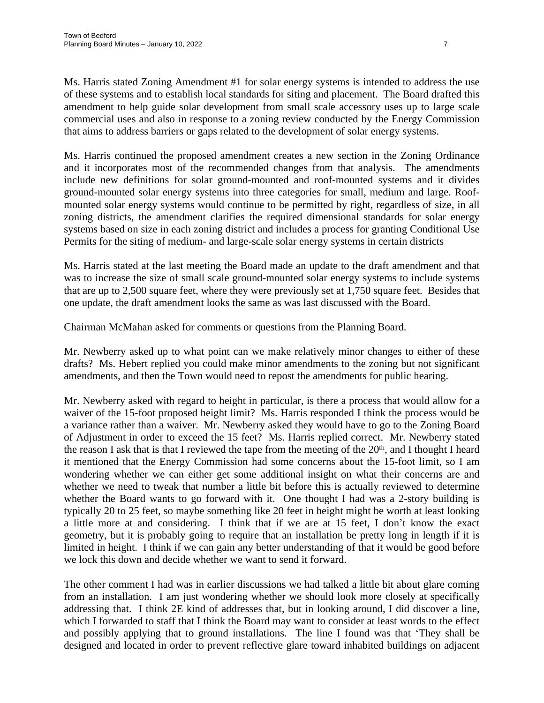Ms. Harris stated Zoning Amendment #1 for solar energy systems is intended to address the use of these systems and to establish local standards for siting and placement. The Board drafted this amendment to help guide solar development from small scale accessory uses up to large scale commercial uses and also in response to a zoning review conducted by the Energy Commission that aims to address barriers or gaps related to the development of solar energy systems.

Ms. Harris continued the proposed amendment creates a new section in the Zoning Ordinance and it incorporates most of the recommended changes from that analysis. The amendments include new definitions for solar ground-mounted and roof-mounted systems and it divides ground-mounted solar energy systems into three categories for small, medium and large. Roofmounted solar energy systems would continue to be permitted by right, regardless of size, in all zoning districts, the amendment clarifies the required dimensional standards for solar energy systems based on size in each zoning district and includes a process for granting Conditional Use Permits for the siting of medium- and large-scale solar energy systems in certain districts

Ms. Harris stated at the last meeting the Board made an update to the draft amendment and that was to increase the size of small scale ground-mounted solar energy systems to include systems that are up to 2,500 square feet, where they were previously set at 1,750 square feet. Besides that one update, the draft amendment looks the same as was last discussed with the Board.

Chairman McMahan asked for comments or questions from the Planning Board.

Mr. Newberry asked up to what point can we make relatively minor changes to either of these drafts? Ms. Hebert replied you could make minor amendments to the zoning but not significant amendments, and then the Town would need to repost the amendments for public hearing.

Mr. Newberry asked with regard to height in particular, is there a process that would allow for a waiver of the 15-foot proposed height limit? Ms. Harris responded I think the process would be a variance rather than a waiver. Mr. Newberry asked they would have to go to the Zoning Board of Adjustment in order to exceed the 15 feet? Ms. Harris replied correct. Mr. Newberry stated the reason I ask that is that I reviewed the tape from the meeting of the 20<sup>th</sup>, and I thought I heard it mentioned that the Energy Commission had some concerns about the 15-foot limit, so I am wondering whether we can either get some additional insight on what their concerns are and whether we need to tweak that number a little bit before this is actually reviewed to determine whether the Board wants to go forward with it. One thought I had was a 2-story building is typically 20 to 25 feet, so maybe something like 20 feet in height might be worth at least looking a little more at and considering. I think that if we are at 15 feet, I don't know the exact geometry, but it is probably going to require that an installation be pretty long in length if it is limited in height. I think if we can gain any better understanding of that it would be good before we lock this down and decide whether we want to send it forward.

The other comment I had was in earlier discussions we had talked a little bit about glare coming from an installation. I am just wondering whether we should look more closely at specifically addressing that. I think 2E kind of addresses that, but in looking around, I did discover a line, which I forwarded to staff that I think the Board may want to consider at least words to the effect and possibly applying that to ground installations. The line I found was that 'They shall be designed and located in order to prevent reflective glare toward inhabited buildings on adjacent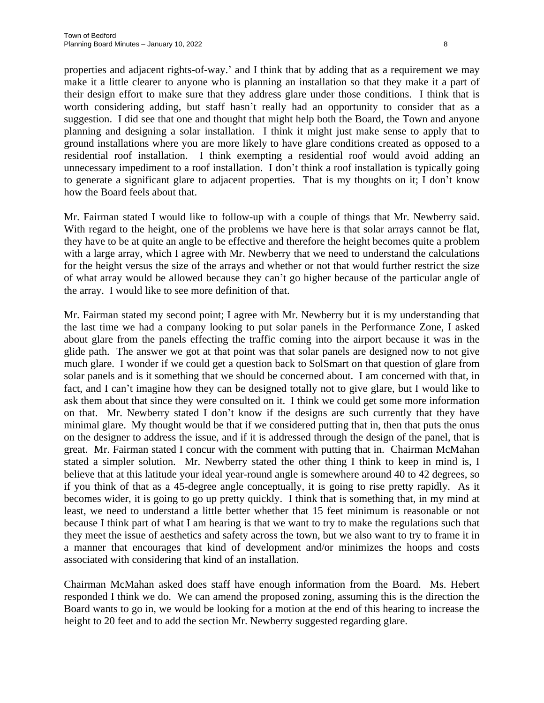properties and adjacent rights-of-way.' and I think that by adding that as a requirement we may make it a little clearer to anyone who is planning an installation so that they make it a part of their design effort to make sure that they address glare under those conditions. I think that is worth considering adding, but staff hasn't really had an opportunity to consider that as a suggestion. I did see that one and thought that might help both the Board, the Town and anyone planning and designing a solar installation. I think it might just make sense to apply that to ground installations where you are more likely to have glare conditions created as opposed to a residential roof installation. I think exempting a residential roof would avoid adding an unnecessary impediment to a roof installation. I don't think a roof installation is typically going to generate a significant glare to adjacent properties. That is my thoughts on it; I don't know how the Board feels about that.

Mr. Fairman stated I would like to follow-up with a couple of things that Mr. Newberry said. With regard to the height, one of the problems we have here is that solar arrays cannot be flat, they have to be at quite an angle to be effective and therefore the height becomes quite a problem with a large array, which I agree with Mr. Newberry that we need to understand the calculations for the height versus the size of the arrays and whether or not that would further restrict the size of what array would be allowed because they can't go higher because of the particular angle of the array. I would like to see more definition of that.

Mr. Fairman stated my second point; I agree with Mr. Newberry but it is my understanding that the last time we had a company looking to put solar panels in the Performance Zone, I asked about glare from the panels effecting the traffic coming into the airport because it was in the glide path. The answer we got at that point was that solar panels are designed now to not give much glare. I wonder if we could get a question back to SolSmart on that question of glare from solar panels and is it something that we should be concerned about. I am concerned with that, in fact, and I can't imagine how they can be designed totally not to give glare, but I would like to ask them about that since they were consulted on it. I think we could get some more information on that. Mr. Newberry stated I don't know if the designs are such currently that they have minimal glare. My thought would be that if we considered putting that in, then that puts the onus on the designer to address the issue, and if it is addressed through the design of the panel, that is great. Mr. Fairman stated I concur with the comment with putting that in. Chairman McMahan stated a simpler solution. Mr. Newberry stated the other thing I think to keep in mind is, I believe that at this latitude your ideal year-round angle is somewhere around 40 to 42 degrees, so if you think of that as a 45-degree angle conceptually, it is going to rise pretty rapidly. As it becomes wider, it is going to go up pretty quickly. I think that is something that, in my mind at least, we need to understand a little better whether that 15 feet minimum is reasonable or not because I think part of what I am hearing is that we want to try to make the regulations such that they meet the issue of aesthetics and safety across the town, but we also want to try to frame it in a manner that encourages that kind of development and/or minimizes the hoops and costs associated with considering that kind of an installation.

Chairman McMahan asked does staff have enough information from the Board. Ms. Hebert responded I think we do. We can amend the proposed zoning, assuming this is the direction the Board wants to go in, we would be looking for a motion at the end of this hearing to increase the height to 20 feet and to add the section Mr. Newberry suggested regarding glare.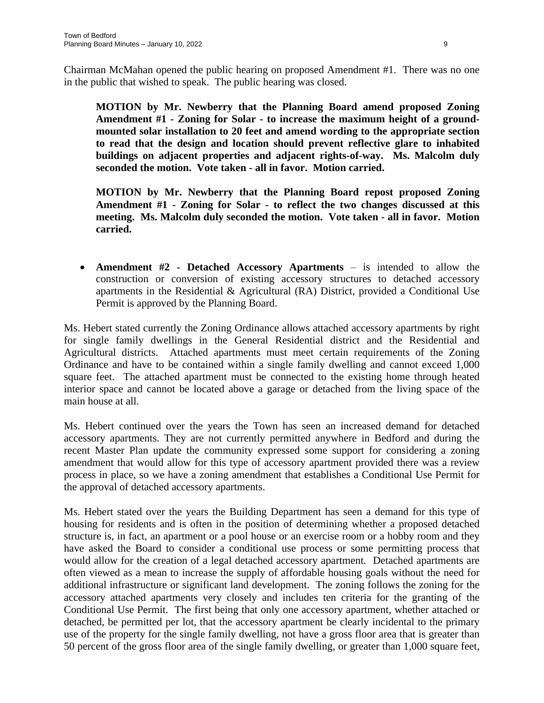Chairman McMahan opened the public hearing on proposed Amendment #1. There was no one in the public that wished to speak. The public hearing was closed.

**MOTION by Mr. Newberry that the Planning Board amend proposed Zoning Amendment #1 - Zoning for Solar - to increase the maximum height of a groundmounted solar installation to 20 feet and amend wording to the appropriate section to read that the design and location should prevent reflective glare to inhabited buildings on adjacent properties and adjacent rights-of-way. Ms. Malcolm duly seconded the motion. Vote taken - all in favor. Motion carried.**

**MOTION by Mr. Newberry that the Planning Board repost proposed Zoning Amendment #1 - Zoning for Solar - to reflect the two changes discussed at this meeting. Ms. Malcolm duly seconded the motion. Vote taken - all in favor. Motion carried.**

 **Amendment #2 - Detached Accessory Apartments** – is intended to allow the construction or conversion of existing accessory structures to detached accessory apartments in the Residential & Agricultural (RA) District, provided a Conditional Use Permit is approved by the Planning Board.

Ms. Hebert stated currently the Zoning Ordinance allows attached accessory apartments by right for single family dwellings in the General Residential district and the Residential and Agricultural districts. Attached apartments must meet certain requirements of the Zoning Ordinance and have to be contained within a single family dwelling and cannot exceed 1,000 square feet. The attached apartment must be connected to the existing home through heated interior space and cannot be located above a garage or detached from the living space of the main house at all.

Ms. Hebert continued over the years the Town has seen an increased demand for detached accessory apartments. They are not currently permitted anywhere in Bedford and during the recent Master Plan update the community expressed some support for considering a zoning amendment that would allow for this type of accessory apartment provided there was a review process in place, so we have a zoning amendment that establishes a Conditional Use Permit for the approval of detached accessory apartments.

Ms. Hebert stated over the years the Building Department has seen a demand for this type of housing for residents and is often in the position of determining whether a proposed detached structure is, in fact, an apartment or a pool house or an exercise room or a hobby room and they have asked the Board to consider a conditional use process or some permitting process that would allow for the creation of a legal detached accessory apartment. Detached apartments are often viewed as a mean to increase the supply of affordable housing goals without the need for additional infrastructure or significant land development. The zoning follows the zoning for the accessory attached apartments very closely and includes ten criteria for the granting of the Conditional Use Permit. The first being that only one accessory apartment, whether attached or detached, be permitted per lot, that the accessory apartment be clearly incidental to the primary use of the property for the single family dwelling, not have a gross floor area that is greater than 50 percent of the gross floor area of the single family dwelling, or greater than 1,000 square feet,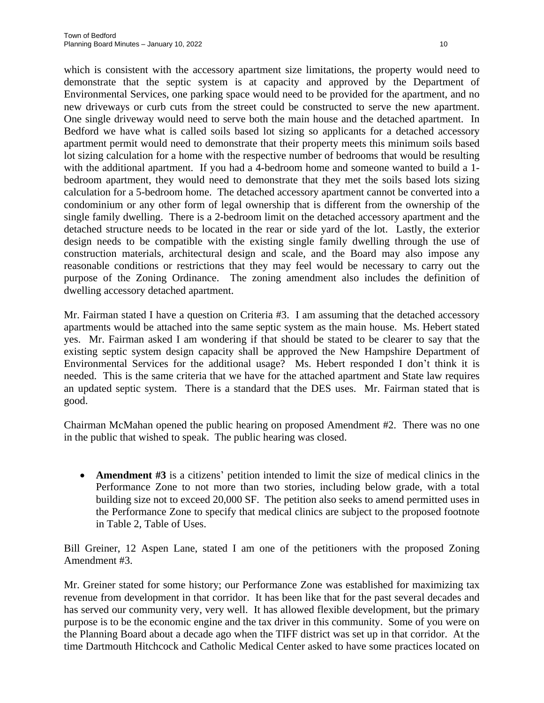which is consistent with the accessory apartment size limitations, the property would need to demonstrate that the septic system is at capacity and approved by the Department of Environmental Services, one parking space would need to be provided for the apartment, and no new driveways or curb cuts from the street could be constructed to serve the new apartment. One single driveway would need to serve both the main house and the detached apartment. In Bedford we have what is called soils based lot sizing so applicants for a detached accessory apartment permit would need to demonstrate that their property meets this minimum soils based lot sizing calculation for a home with the respective number of bedrooms that would be resulting with the additional apartment. If you had a 4-bedroom home and someone wanted to build a 1 bedroom apartment, they would need to demonstrate that they met the soils based lots sizing calculation for a 5-bedroom home. The detached accessory apartment cannot be converted into a condominium or any other form of legal ownership that is different from the ownership of the single family dwelling. There is a 2-bedroom limit on the detached accessory apartment and the detached structure needs to be located in the rear or side yard of the lot. Lastly, the exterior design needs to be compatible with the existing single family dwelling through the use of construction materials, architectural design and scale, and the Board may also impose any reasonable conditions or restrictions that they may feel would be necessary to carry out the purpose of the Zoning Ordinance. The zoning amendment also includes the definition of dwelling accessory detached apartment.

Mr. Fairman stated I have a question on Criteria #3. I am assuming that the detached accessory apartments would be attached into the same septic system as the main house. Ms. Hebert stated yes. Mr. Fairman asked I am wondering if that should be stated to be clearer to say that the existing septic system design capacity shall be approved the New Hampshire Department of Environmental Services for the additional usage? Ms. Hebert responded I don't think it is needed. This is the same criteria that we have for the attached apartment and State law requires an updated septic system. There is a standard that the DES uses. Mr. Fairman stated that is good.

Chairman McMahan opened the public hearing on proposed Amendment #2. There was no one in the public that wished to speak. The public hearing was closed.

 **Amendment #3** is a citizens' petition intended to limit the size of medical clinics in the Performance Zone to not more than two stories, including below grade, with a total building size not to exceed 20,000 SF. The petition also seeks to amend permitted uses in the Performance Zone to specify that medical clinics are subject to the proposed footnote in Table 2, Table of Uses.

Bill Greiner, 12 Aspen Lane, stated I am one of the petitioners with the proposed Zoning Amendment #3.

Mr. Greiner stated for some history; our Performance Zone was established for maximizing tax revenue from development in that corridor. It has been like that for the past several decades and has served our community very, very well. It has allowed flexible development, but the primary purpose is to be the economic engine and the tax driver in this community. Some of you were on the Planning Board about a decade ago when the TIFF district was set up in that corridor. At the time Dartmouth Hitchcock and Catholic Medical Center asked to have some practices located on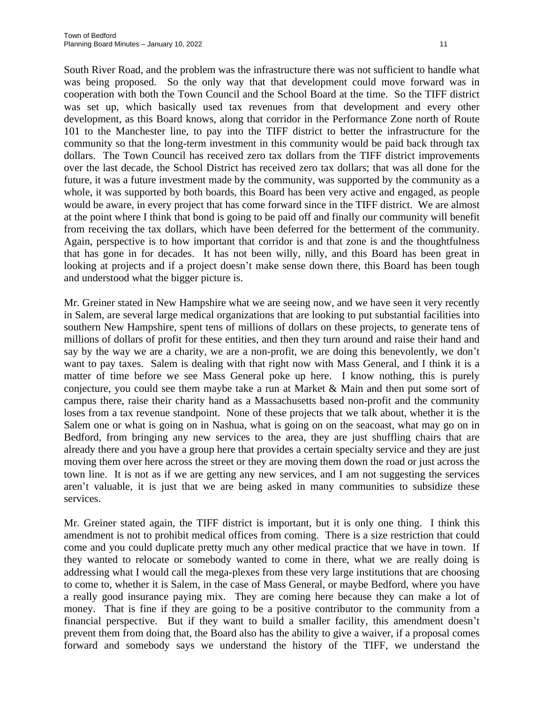South River Road, and the problem was the infrastructure there was not sufficient to handle what was being proposed. So the only way that that development could move forward was in cooperation with both the Town Council and the School Board at the time. So the TIFF district was set up, which basically used tax revenues from that development and every other development, as this Board knows, along that corridor in the Performance Zone north of Route 101 to the Manchester line, to pay into the TIFF district to better the infrastructure for the community so that the long-term investment in this community would be paid back through tax dollars. The Town Council has received zero tax dollars from the TIFF district improvements over the last decade, the School District has received zero tax dollars; that was all done for the future, it was a future investment made by the community, was supported by the community as a whole, it was supported by both boards, this Board has been very active and engaged, as people would be aware, in every project that has come forward since in the TIFF district. We are almost at the point where I think that bond is going to be paid off and finally our community will benefit from receiving the tax dollars, which have been deferred for the betterment of the community. Again, perspective is to how important that corridor is and that zone is and the thoughtfulness that has gone in for decades. It has not been willy, nilly, and this Board has been great in looking at projects and if a project doesn't make sense down there, this Board has been tough and understood what the bigger picture is.

Mr. Greiner stated in New Hampshire what we are seeing now, and we have seen it very recently in Salem, are several large medical organizations that are looking to put substantial facilities into southern New Hampshire, spent tens of millions of dollars on these projects, to generate tens of millions of dollars of profit for these entities, and then they turn around and raise their hand and say by the way we are a charity, we are a non-profit, we are doing this benevolently, we don't want to pay taxes. Salem is dealing with that right now with Mass General, and I think it is a matter of time before we see Mass General poke up here. I know nothing, this is purely conjecture, you could see them maybe take a run at Market & Main and then put some sort of campus there, raise their charity hand as a Massachusetts based non-profit and the community loses from a tax revenue standpoint. None of these projects that we talk about, whether it is the Salem one or what is going on in Nashua, what is going on on the seacoast, what may go on in Bedford, from bringing any new services to the area, they are just shuffling chairs that are already there and you have a group here that provides a certain specialty service and they are just moving them over here across the street or they are moving them down the road or just across the town line. It is not as if we are getting any new services, and I am not suggesting the services aren't valuable, it is just that we are being asked in many communities to subsidize these services.

Mr. Greiner stated again, the TIFF district is important, but it is only one thing. I think this amendment is not to prohibit medical offices from coming. There is a size restriction that could come and you could duplicate pretty much any other medical practice that we have in town. If they wanted to relocate or somebody wanted to come in there, what we are really doing is addressing what I would call the mega-plexes from these very large institutions that are choosing to come to, whether it is Salem, in the case of Mass General, or maybe Bedford, where you have a really good insurance paying mix. They are coming here because they can make a lot of money. That is fine if they are going to be a positive contributor to the community from a financial perspective. But if they want to build a smaller facility, this amendment doesn't prevent them from doing that, the Board also has the ability to give a waiver, if a proposal comes forward and somebody says we understand the history of the TIFF, we understand the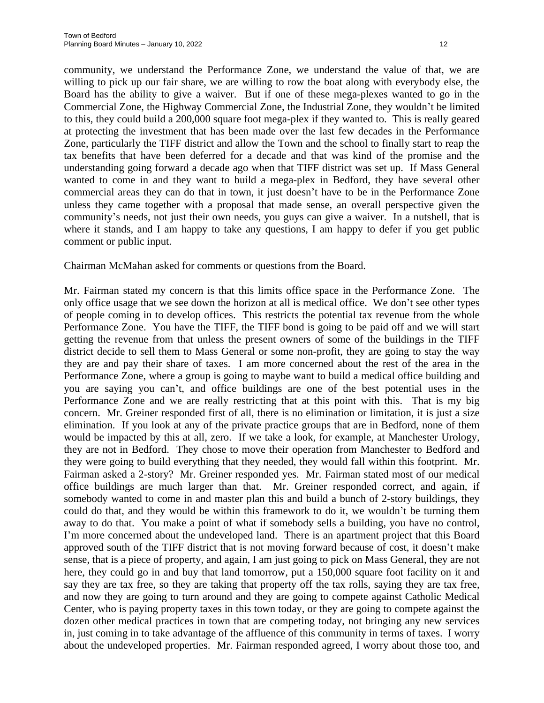community, we understand the Performance Zone, we understand the value of that, we are willing to pick up our fair share, we are willing to row the boat along with everybody else, the Board has the ability to give a waiver. But if one of these mega-plexes wanted to go in the Commercial Zone, the Highway Commercial Zone, the Industrial Zone, they wouldn't be limited to this, they could build a 200,000 square foot mega-plex if they wanted to. This is really geared at protecting the investment that has been made over the last few decades in the Performance Zone, particularly the TIFF district and allow the Town and the school to finally start to reap the tax benefits that have been deferred for a decade and that was kind of the promise and the understanding going forward a decade ago when that TIFF district was set up. If Mass General wanted to come in and they want to build a mega-plex in Bedford, they have several other commercial areas they can do that in town, it just doesn't have to be in the Performance Zone unless they came together with a proposal that made sense, an overall perspective given the community's needs, not just their own needs, you guys can give a waiver. In a nutshell, that is where it stands, and I am happy to take any questions, I am happy to defer if you get public comment or public input.

Chairman McMahan asked for comments or questions from the Board.

Mr. Fairman stated my concern is that this limits office space in the Performance Zone. The only office usage that we see down the horizon at all is medical office. We don't see other types of people coming in to develop offices. This restricts the potential tax revenue from the whole Performance Zone. You have the TIFF, the TIFF bond is going to be paid off and we will start getting the revenue from that unless the present owners of some of the buildings in the TIFF district decide to sell them to Mass General or some non-profit, they are going to stay the way they are and pay their share of taxes. I am more concerned about the rest of the area in the Performance Zone, where a group is going to maybe want to build a medical office building and you are saying you can't, and office buildings are one of the best potential uses in the Performance Zone and we are really restricting that at this point with this. That is my big concern. Mr. Greiner responded first of all, there is no elimination or limitation, it is just a size elimination. If you look at any of the private practice groups that are in Bedford, none of them would be impacted by this at all, zero. If we take a look, for example, at Manchester Urology, they are not in Bedford. They chose to move their operation from Manchester to Bedford and they were going to build everything that they needed, they would fall within this footprint. Mr. Fairman asked a 2-story? Mr. Greiner responded yes. Mr. Fairman stated most of our medical office buildings are much larger than that. Mr. Greiner responded correct, and again, if somebody wanted to come in and master plan this and build a bunch of 2-story buildings, they could do that, and they would be within this framework to do it, we wouldn't be turning them away to do that. You make a point of what if somebody sells a building, you have no control, I'm more concerned about the undeveloped land. There is an apartment project that this Board approved south of the TIFF district that is not moving forward because of cost, it doesn't make sense, that is a piece of property, and again, I am just going to pick on Mass General, they are not here, they could go in and buy that land tomorrow, put a 150,000 square foot facility on it and say they are tax free, so they are taking that property off the tax rolls, saying they are tax free, and now they are going to turn around and they are going to compete against Catholic Medical Center, who is paying property taxes in this town today, or they are going to compete against the dozen other medical practices in town that are competing today, not bringing any new services in, just coming in to take advantage of the affluence of this community in terms of taxes. I worry about the undeveloped properties. Mr. Fairman responded agreed, I worry about those too, and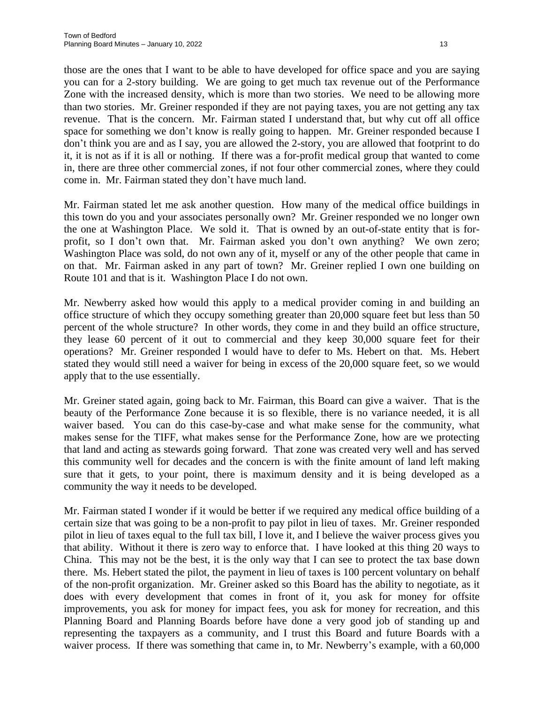those are the ones that I want to be able to have developed for office space and you are saying you can for a 2-story building. We are going to get much tax revenue out of the Performance Zone with the increased density, which is more than two stories. We need to be allowing more than two stories. Mr. Greiner responded if they are not paying taxes, you are not getting any tax revenue. That is the concern. Mr. Fairman stated I understand that, but why cut off all office space for something we don't know is really going to happen. Mr. Greiner responded because I don't think you are and as I say, you are allowed the 2-story, you are allowed that footprint to do it, it is not as if it is all or nothing. If there was a for-profit medical group that wanted to come in, there are three other commercial zones, if not four other commercial zones, where they could come in. Mr. Fairman stated they don't have much land.

Mr. Fairman stated let me ask another question. How many of the medical office buildings in this town do you and your associates personally own? Mr. Greiner responded we no longer own the one at Washington Place. We sold it. That is owned by an out-of-state entity that is forprofit, so I don't own that. Mr. Fairman asked you don't own anything? We own zero; Washington Place was sold, do not own any of it, myself or any of the other people that came in on that. Mr. Fairman asked in any part of town? Mr. Greiner replied I own one building on Route 101 and that is it. Washington Place I do not own.

Mr. Newberry asked how would this apply to a medical provider coming in and building an office structure of which they occupy something greater than 20,000 square feet but less than 50 percent of the whole structure? In other words, they come in and they build an office structure, they lease 60 percent of it out to commercial and they keep 30,000 square feet for their operations? Mr. Greiner responded I would have to defer to Ms. Hebert on that. Ms. Hebert stated they would still need a waiver for being in excess of the 20,000 square feet, so we would apply that to the use essentially.

Mr. Greiner stated again, going back to Mr. Fairman, this Board can give a waiver. That is the beauty of the Performance Zone because it is so flexible, there is no variance needed, it is all waiver based. You can do this case-by-case and what make sense for the community, what makes sense for the TIFF, what makes sense for the Performance Zone, how are we protecting that land and acting as stewards going forward. That zone was created very well and has served this community well for decades and the concern is with the finite amount of land left making sure that it gets, to your point, there is maximum density and it is being developed as a community the way it needs to be developed.

Mr. Fairman stated I wonder if it would be better if we required any medical office building of a certain size that was going to be a non-profit to pay pilot in lieu of taxes. Mr. Greiner responded pilot in lieu of taxes equal to the full tax bill, I love it, and I believe the waiver process gives you that ability. Without it there is zero way to enforce that. I have looked at this thing 20 ways to China. This may not be the best, it is the only way that I can see to protect the tax base down there. Ms. Hebert stated the pilot, the payment in lieu of taxes is 100 percent voluntary on behalf of the non-profit organization. Mr. Greiner asked so this Board has the ability to negotiate, as it does with every development that comes in front of it, you ask for money for offsite improvements, you ask for money for impact fees, you ask for money for recreation, and this Planning Board and Planning Boards before have done a very good job of standing up and representing the taxpayers as a community, and I trust this Board and future Boards with a waiver process. If there was something that came in, to Mr. Newberry's example, with a 60,000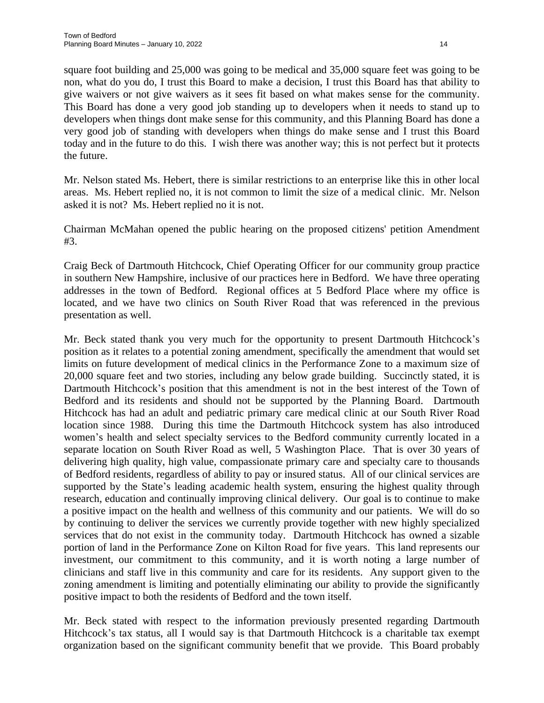square foot building and 25,000 was going to be medical and 35,000 square feet was going to be non, what do you do, I trust this Board to make a decision, I trust this Board has that ability to give waivers or not give waivers as it sees fit based on what makes sense for the community. This Board has done a very good job standing up to developers when it needs to stand up to developers when things dont make sense for this community, and this Planning Board has done a very good job of standing with developers when things do make sense and I trust this Board today and in the future to do this. I wish there was another way; this is not perfect but it protects the future.

Mr. Nelson stated Ms. Hebert, there is similar restrictions to an enterprise like this in other local areas. Ms. Hebert replied no, it is not common to limit the size of a medical clinic. Mr. Nelson asked it is not? Ms. Hebert replied no it is not.

Chairman McMahan opened the public hearing on the proposed citizens' petition Amendment #3.

Craig Beck of Dartmouth Hitchcock, Chief Operating Officer for our community group practice in southern New Hampshire, inclusive of our practices here in Bedford. We have three operating addresses in the town of Bedford. Regional offices at 5 Bedford Place where my office is located, and we have two clinics on South River Road that was referenced in the previous presentation as well.

Mr. Beck stated thank you very much for the opportunity to present Dartmouth Hitchcock's position as it relates to a potential zoning amendment, specifically the amendment that would set limits on future development of medical clinics in the Performance Zone to a maximum size of 20,000 square feet and two stories, including any below grade building. Succinctly stated, it is Dartmouth Hitchcock's position that this amendment is not in the best interest of the Town of Bedford and its residents and should not be supported by the Planning Board. Dartmouth Hitchcock has had an adult and pediatric primary care medical clinic at our South River Road location since 1988. During this time the Dartmouth Hitchcock system has also introduced women's health and select specialty services to the Bedford community currently located in a separate location on South River Road as well, 5 Washington Place. That is over 30 years of delivering high quality, high value, compassionate primary care and specialty care to thousands of Bedford residents, regardless of ability to pay or insured status. All of our clinical services are supported by the State's leading academic health system, ensuring the highest quality through research, education and continually improving clinical delivery. Our goal is to continue to make a positive impact on the health and wellness of this community and our patients. We will do so by continuing to deliver the services we currently provide together with new highly specialized services that do not exist in the community today. Dartmouth Hitchcock has owned a sizable portion of land in the Performance Zone on Kilton Road for five years. This land represents our investment, our commitment to this community, and it is worth noting a large number of clinicians and staff live in this community and care for its residents. Any support given to the zoning amendment is limiting and potentially eliminating our ability to provide the significantly positive impact to both the residents of Bedford and the town itself.

Mr. Beck stated with respect to the information previously presented regarding Dartmouth Hitchcock's tax status, all I would say is that Dartmouth Hitchcock is a charitable tax exempt organization based on the significant community benefit that we provide. This Board probably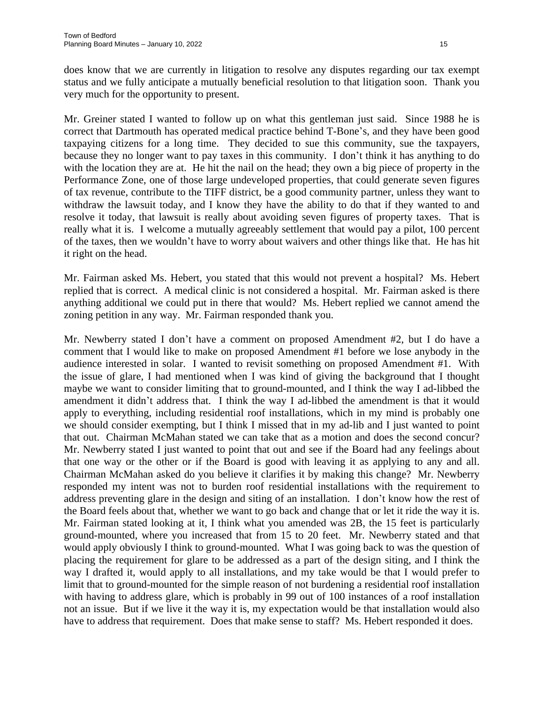does know that we are currently in litigation to resolve any disputes regarding our tax exempt status and we fully anticipate a mutually beneficial resolution to that litigation soon. Thank you very much for the opportunity to present.

Mr. Greiner stated I wanted to follow up on what this gentleman just said. Since 1988 he is correct that Dartmouth has operated medical practice behind T-Bone's, and they have been good taxpaying citizens for a long time. They decided to sue this community, sue the taxpayers, because they no longer want to pay taxes in this community. I don't think it has anything to do with the location they are at. He hit the nail on the head; they own a big piece of property in the Performance Zone, one of those large undeveloped properties, that could generate seven figures of tax revenue, contribute to the TIFF district, be a good community partner, unless they want to withdraw the lawsuit today, and I know they have the ability to do that if they wanted to and resolve it today, that lawsuit is really about avoiding seven figures of property taxes. That is really what it is. I welcome a mutually agreeably settlement that would pay a pilot, 100 percent of the taxes, then we wouldn't have to worry about waivers and other things like that. He has hit it right on the head.

Mr. Fairman asked Ms. Hebert, you stated that this would not prevent a hospital? Ms. Hebert replied that is correct. A medical clinic is not considered a hospital. Mr. Fairman asked is there anything additional we could put in there that would? Ms. Hebert replied we cannot amend the zoning petition in any way. Mr. Fairman responded thank you.

Mr. Newberry stated I don't have a comment on proposed Amendment #2, but I do have a comment that I would like to make on proposed Amendment #1 before we lose anybody in the audience interested in solar. I wanted to revisit something on proposed Amendment #1. With the issue of glare, I had mentioned when I was kind of giving the background that I thought maybe we want to consider limiting that to ground-mounted, and I think the way I ad-libbed the amendment it didn't address that. I think the way I ad-libbed the amendment is that it would apply to everything, including residential roof installations, which in my mind is probably one we should consider exempting, but I think I missed that in my ad-lib and I just wanted to point that out. Chairman McMahan stated we can take that as a motion and does the second concur? Mr. Newberry stated I just wanted to point that out and see if the Board had any feelings about that one way or the other or if the Board is good with leaving it as applying to any and all. Chairman McMahan asked do you believe it clarifies it by making this change? Mr. Newberry responded my intent was not to burden roof residential installations with the requirement to address preventing glare in the design and siting of an installation. I don't know how the rest of the Board feels about that, whether we want to go back and change that or let it ride the way it is. Mr. Fairman stated looking at it, I think what you amended was 2B, the 15 feet is particularly ground-mounted, where you increased that from 15 to 20 feet. Mr. Newberry stated and that would apply obviously I think to ground-mounted. What I was going back to was the question of placing the requirement for glare to be addressed as a part of the design siting, and I think the way I drafted it, would apply to all installations, and my take would be that I would prefer to limit that to ground-mounted for the simple reason of not burdening a residential roof installation with having to address glare, which is probably in 99 out of 100 instances of a roof installation not an issue. But if we live it the way it is, my expectation would be that installation would also have to address that requirement. Does that make sense to staff? Ms. Hebert responded it does.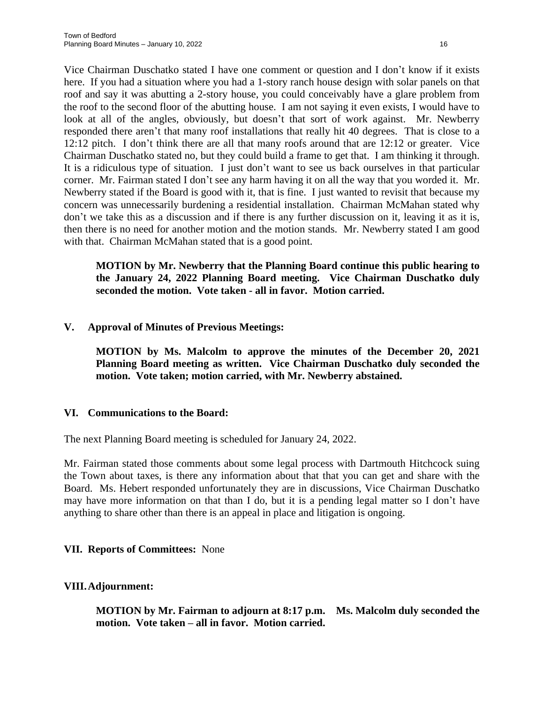Vice Chairman Duschatko stated I have one comment or question and I don't know if it exists here. If you had a situation where you had a 1-story ranch house design with solar panels on that roof and say it was abutting a 2-story house, you could conceivably have a glare problem from the roof to the second floor of the abutting house. I am not saying it even exists, I would have to look at all of the angles, obviously, but doesn't that sort of work against. Mr. Newberry responded there aren't that many roof installations that really hit 40 degrees. That is close to a 12:12 pitch. I don't think there are all that many roofs around that are 12:12 or greater. Vice Chairman Duschatko stated no, but they could build a frame to get that. I am thinking it through. It is a ridiculous type of situation. I just don't want to see us back ourselves in that particular corner. Mr. Fairman stated I don't see any harm having it on all the way that you worded it. Mr. Newberry stated if the Board is good with it, that is fine. I just wanted to revisit that because my concern was unnecessarily burdening a residential installation. Chairman McMahan stated why don't we take this as a discussion and if there is any further discussion on it, leaving it as it is, then there is no need for another motion and the motion stands. Mr. Newberry stated I am good with that. Chairman McMahan stated that is a good point.

**MOTION by Mr. Newberry that the Planning Board continue this public hearing to the January 24, 2022 Planning Board meeting. Vice Chairman Duschatko duly seconded the motion. Vote taken - all in favor. Motion carried.**

### **V. Approval of Minutes of Previous Meetings:**

**MOTION by Ms. Malcolm to approve the minutes of the December 20, 2021 Planning Board meeting as written. Vice Chairman Duschatko duly seconded the motion. Vote taken; motion carried, with Mr. Newberry abstained.**

#### **VI. Communications to the Board:**

The next Planning Board meeting is scheduled for January 24, 2022.

Mr. Fairman stated those comments about some legal process with Dartmouth Hitchcock suing the Town about taxes, is there any information about that that you can get and share with the Board. Ms. Hebert responded unfortunately they are in discussions, Vice Chairman Duschatko may have more information on that than I do, but it is a pending legal matter so I don't have anything to share other than there is an appeal in place and litigation is ongoing.

#### **VII. Reports of Committees:** None

#### **VIII.Adjournment:**

**MOTION by Mr. Fairman to adjourn at 8:17 p.m. Ms. Malcolm duly seconded the motion. Vote taken – all in favor. Motion carried.**